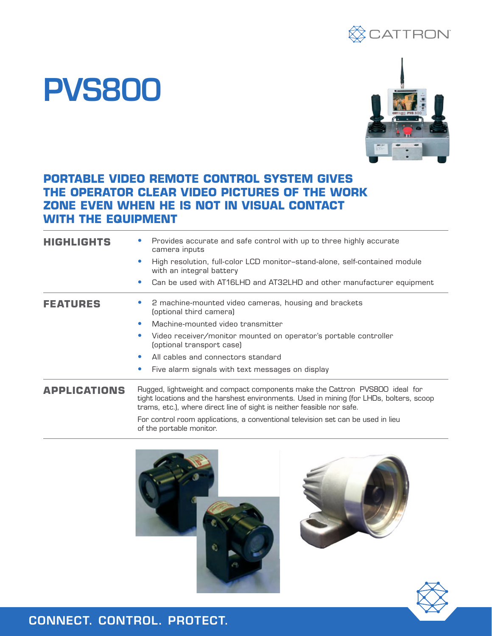

## PVS800



## **PORTABLE VIDEO REMOTE CONTROL SYSTEM GIVES THE OPERATOR CLEAR VIDEO PICTURES OF THE WORK ZONE EVEN WHEN HE IS NOT IN VISUAL CONTACT WITH THE EQUIPMENT**

| <b>HIGHLIGHTS</b>   | Provides accurate and safe control with up to three highly accurate<br>camera inputs                                                                                                                                                              |  |  |
|---------------------|---------------------------------------------------------------------------------------------------------------------------------------------------------------------------------------------------------------------------------------------------|--|--|
|                     | High resolution, full-color LCD monitor-stand-alone, self-contained module<br>$\bullet$<br>with an integral battery                                                                                                                               |  |  |
|                     | Can be used with AT16LHD and AT32LHD and other manufacturer equipment<br>$\bullet$                                                                                                                                                                |  |  |
| <b>FEATURES</b>     | 2 machine-mounted video cameras, housing and brackets<br>(optional third camera)                                                                                                                                                                  |  |  |
|                     | Machine-mounted video transmitter<br>$\bullet$                                                                                                                                                                                                    |  |  |
|                     | Video receiver/monitor mounted on operator's portable controller<br>$\bullet$<br>(optional transport case)                                                                                                                                        |  |  |
|                     | All cables and connectors standard<br>$\bullet$                                                                                                                                                                                                   |  |  |
|                     | Five alarm signals with text messages on display<br>$\bullet$                                                                                                                                                                                     |  |  |
| <b>APPLICATIONS</b> | Rugged, lightweight and compact components make the Cattron PVS800 ideal for<br>tight locations and the harshest environments. Used in mining (for LHDs, bolters, scoop<br>trams, etc.), where direct line of sight is neither feasible nor safe. |  |  |
|                     | For control room applications, a conventional television set can be used in lieu<br>of the portable monitor.                                                                                                                                      |  |  |







## CONNECT. CONTROL. PROTECT.